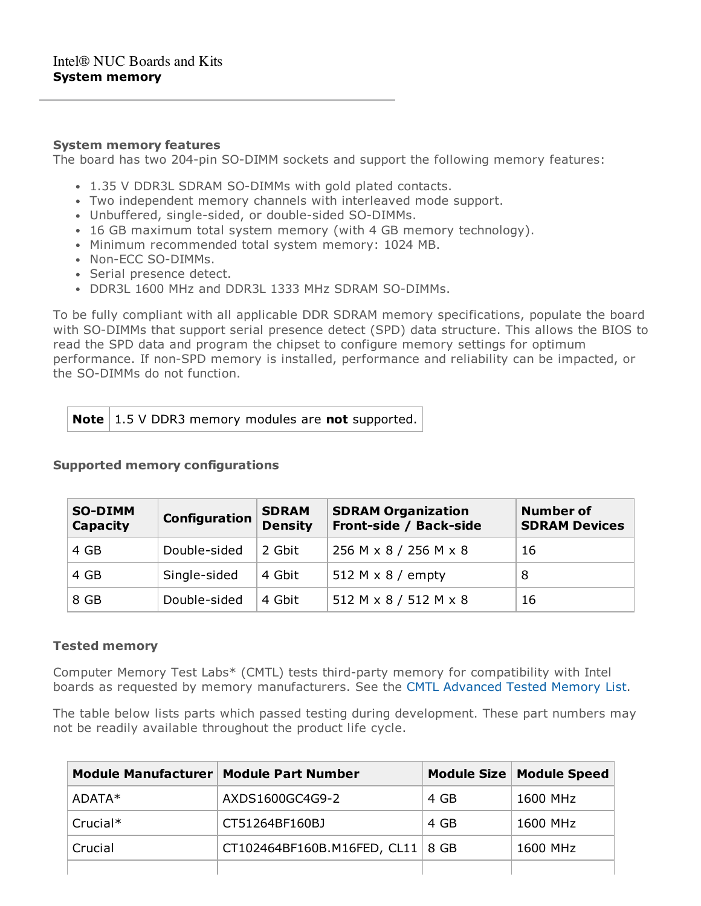### **System memory features**

The board has two 204-pin SO-DIMM sockets and support the following memory features:

- 1.35 V DDR3L SDRAM SO-DIMMs with gold plated contacts.
- Two independent memory channels with interleaved mode support.
- Unbuffered, single-sided, or double-sided SO-DIMMs.
- 16 GB maximum total system memory (with 4 GB memory technology).
- Minimum recommended total system memory: 1024 MB.
- Non-ECC SO-DIMMs.
- Serial presence detect.
- DDR3L 1600 MHz and DDR3L 1333 MHz SDRAM SO-DIMMs.

To be fully compliant with all applicable DDR SDRAM memory specifications, populate the board with SO-DIMMs that support serial presence detect (SPD) data structure. This allows the BIOS to read the SPD data and program the chipset to configure memory settings for optimum performance. If non-SPD memory is installed, performance and reliability can be impacted, or the SO-DIMMs do not function.

# **Note** | 1.5 V DDR3 memory modules are **not** supported.

#### **Supported memory configurations**

| <b>SO-DIMM</b><br>Capacity | Configuration | <b>SDRAM</b><br><b>Density</b> | <b>SDRAM Organization</b><br>Front-side / Back-side | <b>Number of</b><br><b>SDRAM Devices</b> |
|----------------------------|---------------|--------------------------------|-----------------------------------------------------|------------------------------------------|
| 4 GB                       | Double-sided  | 2 Gbit                         | 256 M x 8 / 256 M x 8                               | 16                                       |
| 4 GB                       | Single-sided  | 4 Gbit                         | 512 M $\times$ 8 / empty                            | 8                                        |
| 8 GB                       | Double-sided  | 4 Gbit                         | 512 M x 8 / 512 M x 8                               | 16                                       |

## **Tested memory**

Computer Memory Test Labs\* (CMTL) tests third-party memory for compatibility with Intel boards as requested by memory manufacturers. See the CMTL [Advanced](http://www.cmtlabs.com/2012/mbSearchResults.asp?sManuf=Intel&sMem=DDR3+SODIMM&sMN=D54250WYB/D54250WYK&oSubmit=Search) Tested Memory List.

The table below lists parts which passed testing during development. These part numbers may not be readily available throughout the product life cycle.

| Module Manufacturer   Module Part Number      |                 |      | Module Size   Module Speed |
|-----------------------------------------------|-----------------|------|----------------------------|
| ADATA*                                        | AXDS1600GC4G9-2 | 4 GB | 1600 MHz                   |
| Crucial*                                      | CT51264BF160BJ  | 4 GB | 1600 MHz                   |
| CT102464BF160B.M16FED, CL11   8 GB<br>Crucial |                 |      | 1600 MHz                   |
|                                               |                 |      |                            |